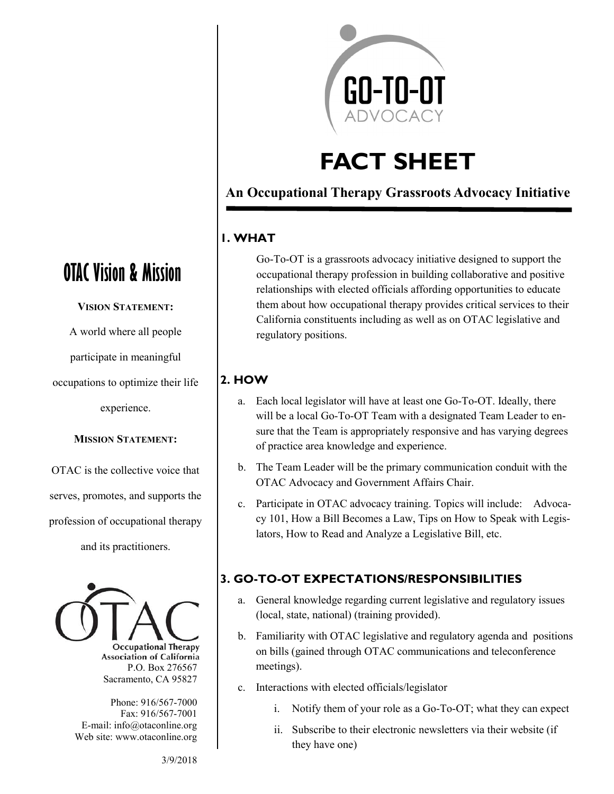

# **FACT SHEET**

### **An Occupational Therapy Grassroots Advocacy Initiative**

#### **1. WHAT**

Go-To-OT is a grassroots advocacy initiative designed to support the occupational therapy profession in building collaborative and positive relationships with elected officials affording opportunities to educate them about how occupational therapy provides critical services to their California constituents including as well as on OTAC legislative and regulatory positions.

#### **2. HOW**

- a. Each local legislator will have at least one Go-To-OT. Ideally, there will be a local Go-To-OT Team with a designated Team Leader to ensure that the Team is appropriately responsive and has varying degrees of practice area knowledge and experience.
- b. The Team Leader will be the primary communication conduit with the OTAC Advocacy and Government Affairs Chair.
- c. Participate in OTAC advocacy training. Topics will include: Advocacy 101, How a Bill Becomes a Law, Tips on How to Speak with Legislators, How to Read and Analyze a Legislative Bill, etc.

#### **3. GO-TO-OT EXPECTATIONS/RESPONSIBILITIES**

- a. General knowledge regarding current legislative and regulatory issues (local, state, national) (training provided).
- b. Familiarity with OTAC legislative and regulatory agenda and positions on bills (gained through OTAC communications and teleconference meetings).
- c. Interactions with elected officials/legislator
	- i. Notify them of your role as a Go-To-OT; what they can expect
	- ii. Subscribe to their electronic newsletters via their website (if they have one)

## **OTAC Vision & Mission**

**VISION STATEMENT:**

A world where all people

participate in meaningful

occupations to optimize their life

experience.

#### **MISSION STATEMENT:**

OTAC is the collective voice that serves, promotes, and supports the profession of occupational therapy and its practitioners.



**Occupational Therapy Association of California** P.O. Box 276567 Sacramento, CA 95827

Phone: 916/567-7000 Fax: 916/567-7001 E-mail: info@otaconline.org Web site: www.otaconline.org